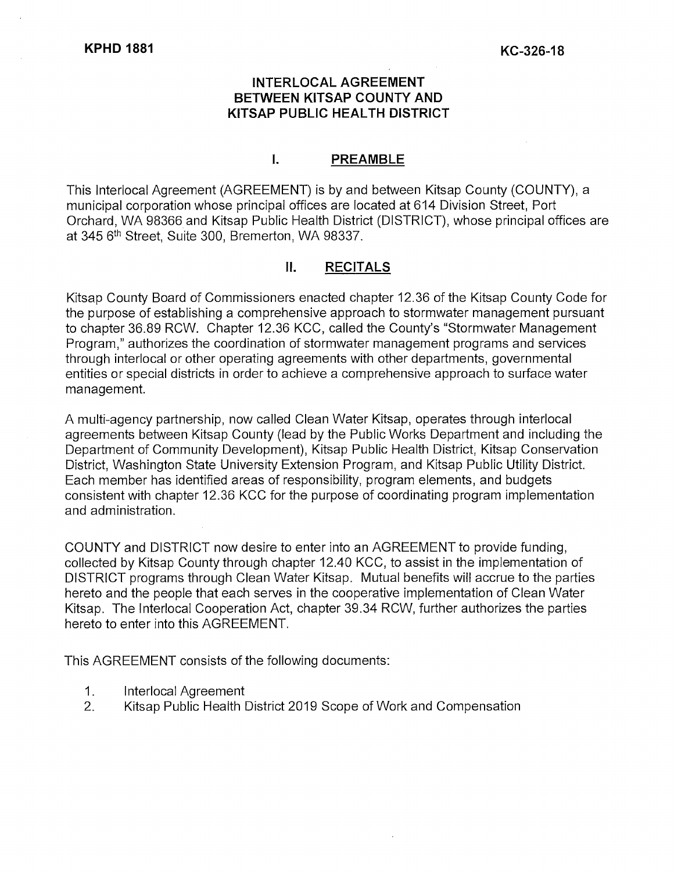#### **INTERLOCAL AGREEMENT BETWEEN KITSAP COUNTY AND KITSAP PUBLIC HEAL TH DISTRICT**

#### I. **PREAMBLE**

This lnterlocal Agreement (AGREEMENT) is by and between Kitsap County (COUNTY), a municipal corporation whose principal offices are located at 614 Division Street, Port Orchard, WA 98366 and Kitsap Public Health District (DISTRICT), whose principal offices are at 345 5th Street, Suite 300, Bremerton, WA 98337.

#### II. **RECITALS**

Kitsap County Board of Commissioners enacted chapter 12.36 of the Kitsap County Code for the purpose of establishing a comprehensive approach to stormwater management pursuant to chapter 36.89 RCW. Chapter 12.36 KCC, called the County's "Stormwater Management Program," authorizes the coordination of stormwater management programs and services through interlocal or other operating agreements with other departments, governmental entities or special districts in order to achieve a comprehensive approach to surface water management.

A multi-agency partnership, now called Clean Water Kitsap, operates through interlocal agreements between Kitsap County (lead by the Public Works Department and including the Department of Community Development), Kitsap Public Health District, Kitsap Conservation District, Washington State University Extension Program, and Kitsap Public Utility District. Each member has identified areas of responsibility, program elements, and budgets consistent with chapter 12.36 KCC for the purpose of coordinating program implementation and administration.

COUNTY and DISTRICT now desire to enter into an AGREEMENT to provide funding, collected by Kitsap County through chapter 12.40 KCC, to assist in the implementation of DISTRICT programs through Clean Water Kitsap. Mutual benefits will accrue to the parties hereto and the people that each serves in the cooperative implementation of Clean Water Kitsap. The lnterlocal Cooperation Act, chapter 39.34 RCW, further authorizes the parties hereto to enter into this AGREEMENT.

This AGREEMENT consists of the following documents:

- 1. lnterlocal Agreement
- 2. Kitsap Public Health District 2019 Scope of Work and Compensation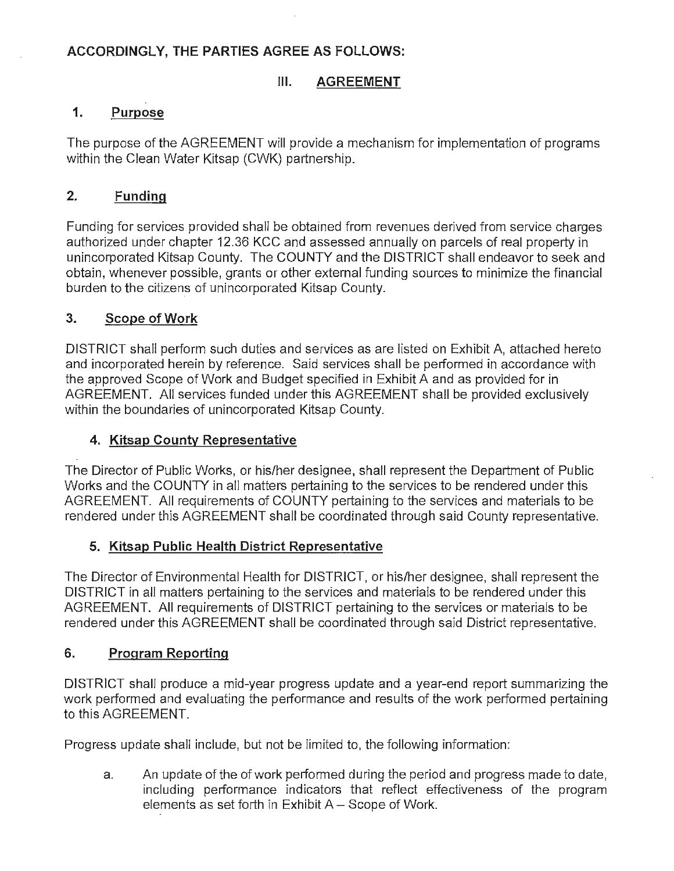#### **ACCORDINGLY, THE PARTIES AGREE AS FOLLOWS:**

#### **III.** AGREEMENT

#### **1. Purpose**

The purpose of the AGREEMENT will provide a mechanism for implementation of programs within the Clean Water Kitsap (CWK) partnership.

#### **2. Funding**

Funding for services provided shall be obtained from revenues derived from service charges authorized under chapter 12.36 KCC and assessed annually on parcels of real property in unincorporated Kitsap County. The COUNTY and the DISTRICT shall endeavor to seek and obtain, whenever possible, grants or other external funding sources to minimize the financial burden to the citizens of unincorporated Kitsap County.

#### **3. Scope of Work**

DISTRICT shall perform such duties and services as are listed on Exhibit A, attached hereto and incorporated herein by reference. Said services shall be performed in accordance with the approved Scope of Work and Budget specified in Exhibit A and as provided for in AGREEMENT. All services funded under this AGREEMENT shall be provided exclusively within the boundaries of unincorporated Kitsap County.

#### **4. Kitsap County Representative**

The Director of Public Works, or his/her designee, shall represent the Department of Public Works and the COUNTY in all matters pertaining to the services to be rendered under this AGREEMENT. All requirements of COUNTY pertaining to the services and materials to be rendered under this AGREEMENT shall be coordinated through said County representative.

#### **5. Kitsap Public Health District Representative**

The Director of Environmental Health for DISTRICT, or his/her designee, shall represent the DISTRICT in all matters pertaining to the services and materials to be rendered under this AGREEMENT. All requirements of DISTRICT pertaining to the services or materials to be rendered under this AGREEMENT shall be coordinated through said District representative.

#### **6. Program Reporting**

DISTRICT shall produce a mid-year progress update and a year-end report summarizing the work performed and evaluating the performance and results of the work performed pertaining to this AGREEMENT.

Progress update shall include, but not be limited to, the following information:

a. An update of the of work performed during the period and progress made to date, including performance indicators that reflect effectiveness of the program elements as set forth in Exhibit  $A -$  Scope of Work.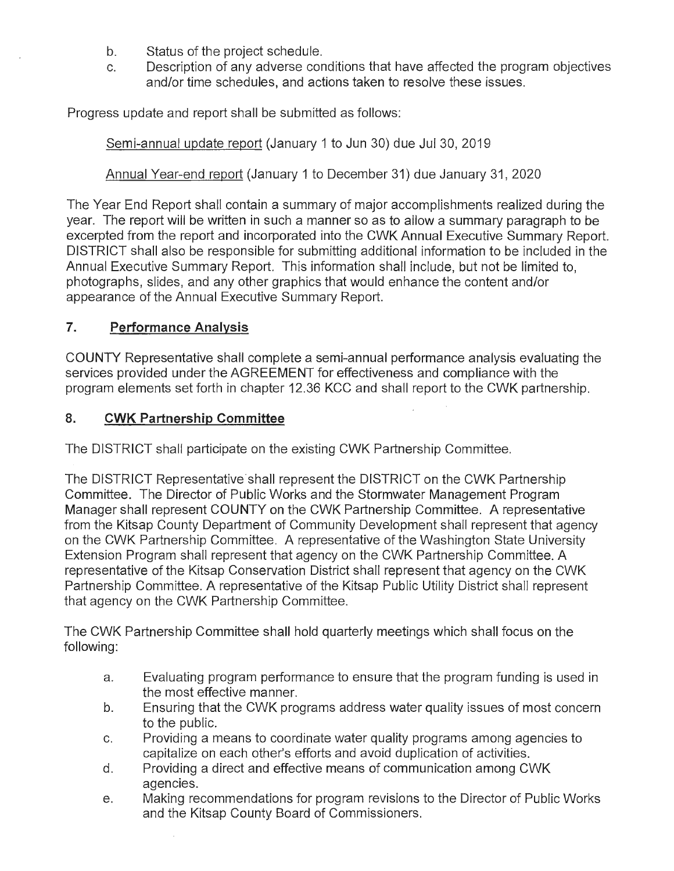- b. Status of the project schedule.
- c. Description of any adverse conditions that have affected the program objectives and/or time schedules, and actions taken to resolve these issues.

Progress update and report shall be submitted as follows:

Semi-annual update report (January 1 to Jun 30) due Jul 30, 2019

Annual Year-end report (January 1 to December 31) due January 31, 2020

The Year End Report shall contain a summary of major accomplishments realized during the year. The report will be written in such a manner so as to allow a summary paragraph to be excerpted from the report and incorporated into the CWK Annual Executive Summary Report. DISTRICT shall also be responsible for submitting additional information to be included in the Annual Executive Summary Report. This information shall include, but not be limited to, photographs, slides, and any other graphics that would enhance the content and/or appearance of the Annual Executive Summary Report.

#### **7. Performance Analysis**

COUNTY Representative shall complete a semi-annual performance analysis evaluating the services provided under the AGREEMENT for effectiveness and compliance with the program elements set forth in chapter 12.36 KCC and shall report to the CWK partnership.

#### **8. CWK Partnership Committee**

The DISTRICT shall participate on the existing CWK Partnership Committee.

The DISTRICT Representative shall represent the DISTRICT on the CWK Partnership Committee. The Director of Public Works and the Stormwater Management Program Manager shall represent COUNTY on the CWK Partnership Committee. A representative from the Kitsap County Department of Community Development shall represent that agency on the CWK Partnership Committee. A representative of the Washington State University Extension Program shall represent that agency on the CWK Partnership Committee. A representative of the Kitsap Conservation District shall represent that agency on the CWK Partnership Committee. A representative of the Kitsap Public Utility District shall represent that agency on the CWK Partnership Committee.

The CWK Partnership Committee shall hold quarterly meetings which shall focus on the following:

- a. Evaluating program performance to ensure that the program funding is used in the most effective manner.
- b. Ensuring that the CWK programs address water quality issues of most concern to the public.
- c. Providing a means to coordinate water quality programs among agencies to capitalize on each other's efforts and avoid duplication of activities.
- d. Providing a direct and effective means of communication among CWK agencies.
- e. Making recommendations for program revisions to the Director of Public Works and the Kitsap County Board of Commissioners.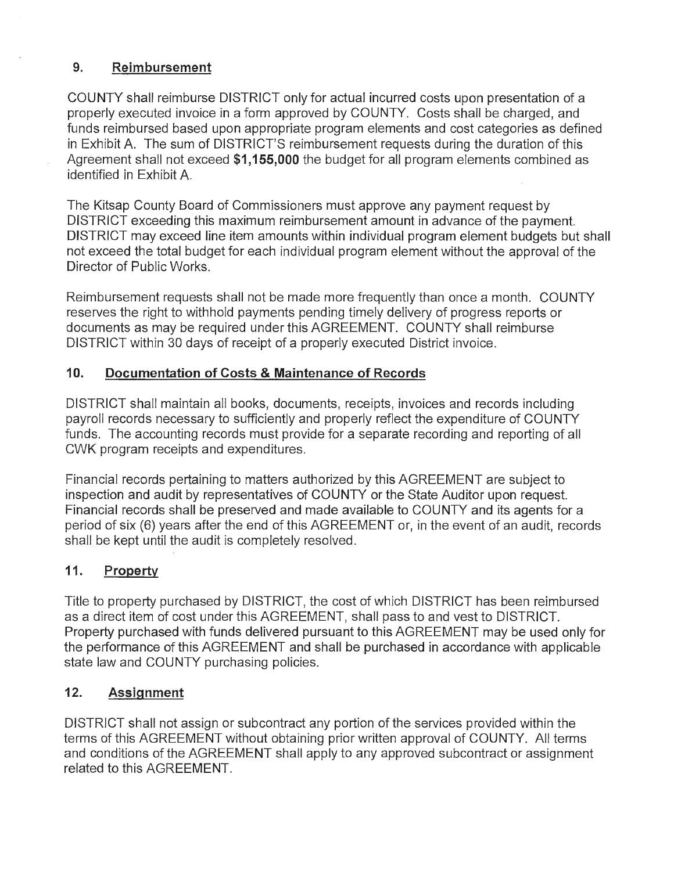#### **9. Reimbursement**

COUNTY shall reimburse DISTRICT only for actual incurred costs upon presentation of a properly executed invoice in a form approved by COUNTY. Costs shall be charged, and funds reimbursed based upon appropriate program elements and cost categories as defined in Exhibit A. The sum of DISTRICT'S reimbursement requests during the duration of this Agreement shall not exceed **\$1,155,000** the budget for all program elements combined as identified in Exhibit A

The Kitsap County Board of Commissioners must approve any payment request by DISTRICT exceeding this maximum reimbursement amount in advance of the payment. DISTRICT may exceed line item amounts within individual program element budgets but shall not exceed the total budget for each individual program element without the approval of the Director of Public Works.

Reimbursement requests shall not be made more frequently than once a month. COUNTY reserves the right to withhold payments pending timely delivery of progress reports or documents as may be required under this AGREEMENT. COUNTY shall reimburse DISTRICT within 30 days of receipt of a properly executed District invoice.

# **10. Documentation of Costs & Maintenance of Records**

DISTRICT shall maintain all books, documents, receipts, invoices and records including payroll records necessary to sufficiently and properly reflect the expenditure of COUNTY funds. The accounting records must provide for a separate recording and reporting of all CWK program receipts and expenditures.

Financial records pertaining to matters authorized by this AGREEMENT are subject to inspection and audit by representatives of COUNTY or the State Auditor upon request. Financial records shall be preserved and made available to COUNTY and its agents for a period of six (6) years after the end of this AGREEMENT or, in the event of an audit, records shall be kept until the audit is completely resolved.

# **11. Property**

Title to property purchased by DISTRICT, the cost of which DISTRICT has been reimbursed as a direct item of cost under this AGREEMENT, shall pass to and vest to DISTRICT. Property purchased with funds delivered pursuant to this AGREEMENT may be used only for the performance of this AGREEMENT and shall be purchased in accordance with applicable state law and COUNTY purchasing policies.

# **12. Assignment**

DISTRICT shall not assign or subcontract any portion of the services provided within the terms of this AGREEMENT without obtaining prior written approval of COUNTY. All terms and conditions of the AGREEMENT shall apply to any approved subcontract or assignment related to this AGREEMENT.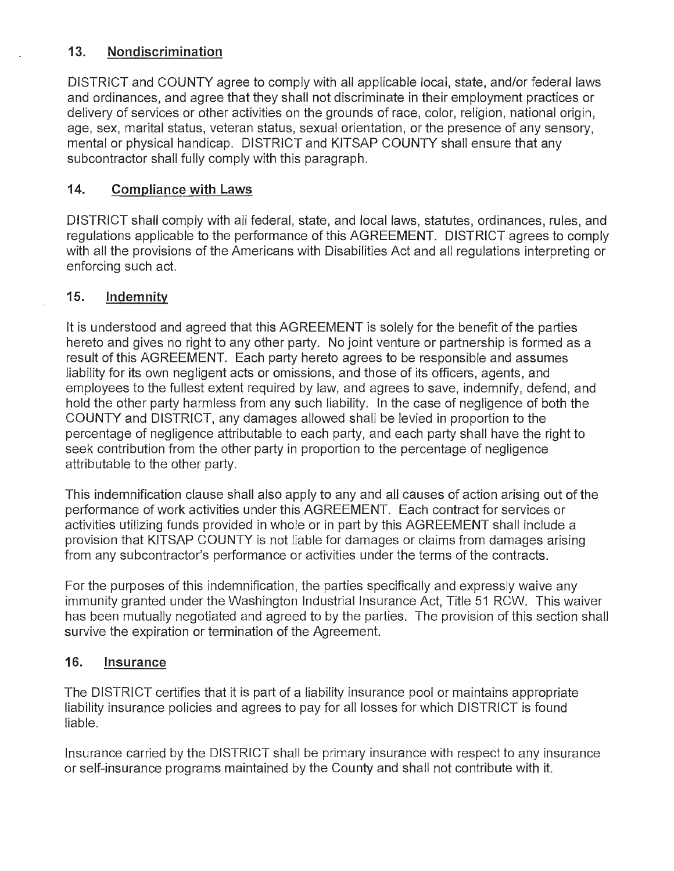#### **13. Nondiscrimination**

DISTRICT and COUNTY agree to comply with all applicable local, state, and/or federal laws and ordinances, and agree that they shall not discriminate in their employment practices or delivery of services or other activities on the grounds of race, color, religion, national origin, age, sex, marital status, veteran status, sexual orientation, or the presence of any sensory, mental or physical handicap. DISTRICT and KITSAP COUNTY shall ensure that any subcontractor shall fully comply with this paragraph.

#### **14. Compliance with Laws**

DISTRICT shall comply with all federal, state, and local laws, statutes, ordinances, rules, and regulations applicable to the performance of this AGREEMENT. DISTRICT agrees to comply with all the provisions of the Americans with Disabilities Act and all regulations interpreting or enforcing such act.

#### **15. Indemnity**

It is understood and agreed that this AGREEMENT is solely for the benefit of the parties hereto and gives no right to any other party. No joint venture or partnership is formed as a result of this AGREEMENT. Each party hereto agrees to be responsible and assumes liability for its own negligent acts or omissions, and those of its officers, agents, and employees to the fullest extent required by law, and agrees to save, indemnify, defend, and hold the other party harmless from any such liability. In the case of negligence of both the COUNTY and DISTRICT, any damages allowed shall be levied in proportion to the percentage of negligence attributable to each party, and each party shall have the right to seek contribution from the other party in proportion to the percentage of negligence attributable to the other party.

This indemnification clause shall also apply to any and all causes of action arising out of the performance of work activities under this AGREEMENT. Each contract for services or activities utilizing funds provided in whole or in part by this AGREEMENT shall include a provision that KITSAP COUNTY is not liable for damages or claims from damages arising from any subcontractor's performance or activities under the terms of the contracts.

For the purposes of this indemnification, the parties specifically and expressly waive any immunity granted under the Washington Industrial Insurance Act, Title 51 RCW. This waiver has been mutually negotiated and agreed to by the parties. The provision of this section shall survive the expiration or termination of the Agreement.

#### **16. Insurance**

The DISTRICT certifies that it is part of a liability insurance pool or maintains appropriate liability insurance policies and agrees to pay for all losses for which DISTRICT is found liable.

Insurance carried by the DISTRICT shall be primary insurance with respect to any insurance or self-insurance programs maintained by the County and shall not contribute with it.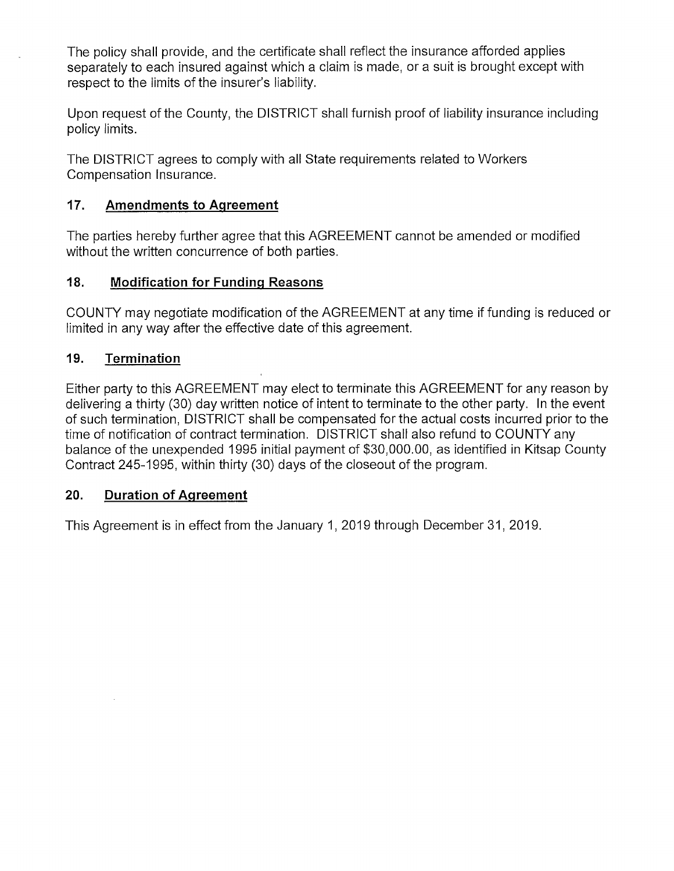The policy shall provide, and the certificate shall reflect the insurance afforded applies separately to each insured against which a claim is made, or a suit is brought except with respect to the limits of the insurer's liability.

Upon request of the County, the DISTRICT shall furnish proof of liability insurance including policy limits.

The DISTRICT agrees to comply with all State requirements related to Workers Compensation Insurance.

#### **17. Amendments to Agreement**

The parties hereby further agree that this AGREEMENT cannot be amended or modified without the written concurrence of both parties.

#### **18. Modification for Funding Reasons**

COUNTY may negotiate modification of the AGREEMENT at any time if funding is reduced or limited in any way after the effective date of this agreement.

#### **19. Termination**

Either party to this AGREEMENT may elect to terminate this AGREEMENT for any reason by delivering a thirty (30) day written notice of intent to terminate to the other party. In the event of such termination, DISTRICT shall be compensated for the actual costs incurred prior to the time of notification of contract termination. DISTRICT shall also refund to COUNTY any balance of the unexpended 1995 initial payment of \$30,000.00, as identified in Kitsap County Contract 245-1995, within thirty (30) days of the closeout of the program.

#### **20. Duration of Agreement**

This Agreement is in effect from the January 1, 2019 through December 31, 2019.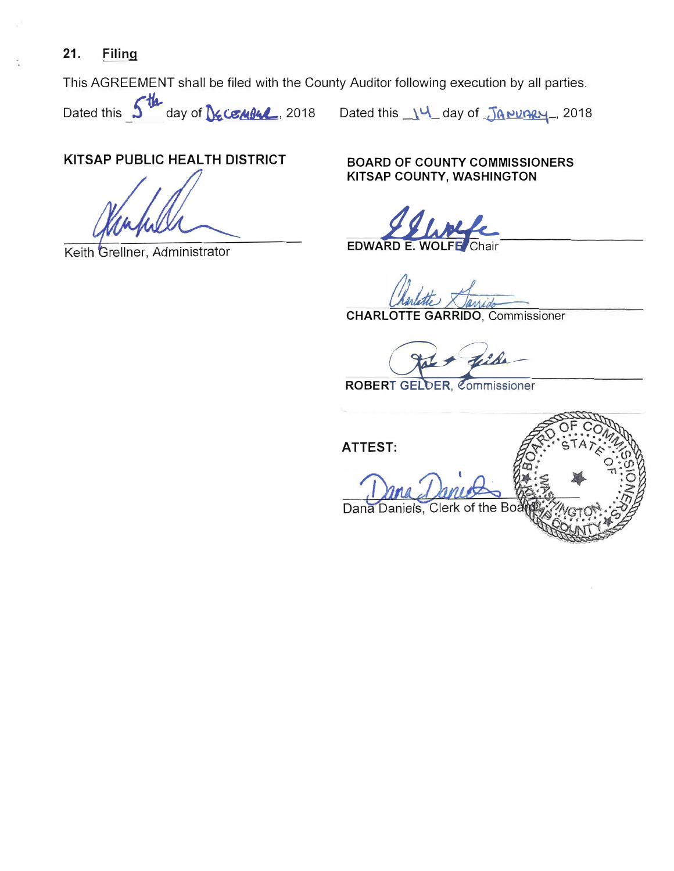# **21. Filing**

This AGREEMENT shall be filed with the County Auditor following execution by all parties.

Dated this **5th** day of **DECEMBL**, 2018 Dated this 14 day of JANUARY, 2018

#### **KITSAP PUBLIC HEAL TH DISTRICT BOARD OF COUNTY COMMISSIONERS**

Keith Grellner, Administrator

**KITSAP COUNTY, WASHINGTON** 

EDWARD **E.** WOLFE **E.** WOLFE **/c.-**

 $\overline{\mathrm{Chair}}$ 

**CHARLOTTE GARRIDO,** Commissioner

ROBERT GELDER, Commissioner

**ATTEST:** 

Dana Daniels, Clerk of the Bo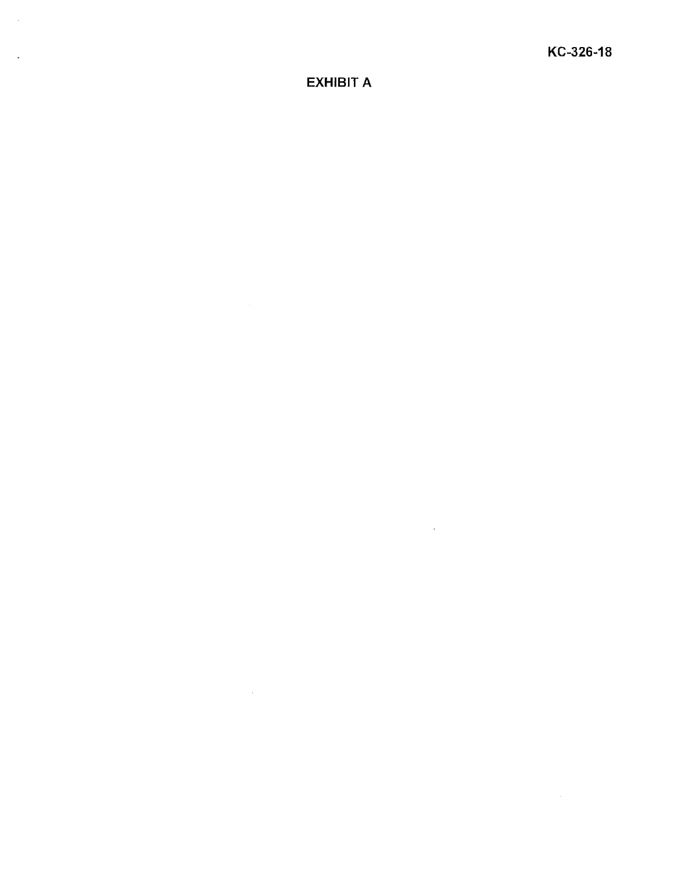$\bar{\mathcal{A}}$ 

# EXHIBIT A

 $\sim 10^{11}$  km s  $^{-1}$ 

 $\sim$   $\sim$ 

 $\sim$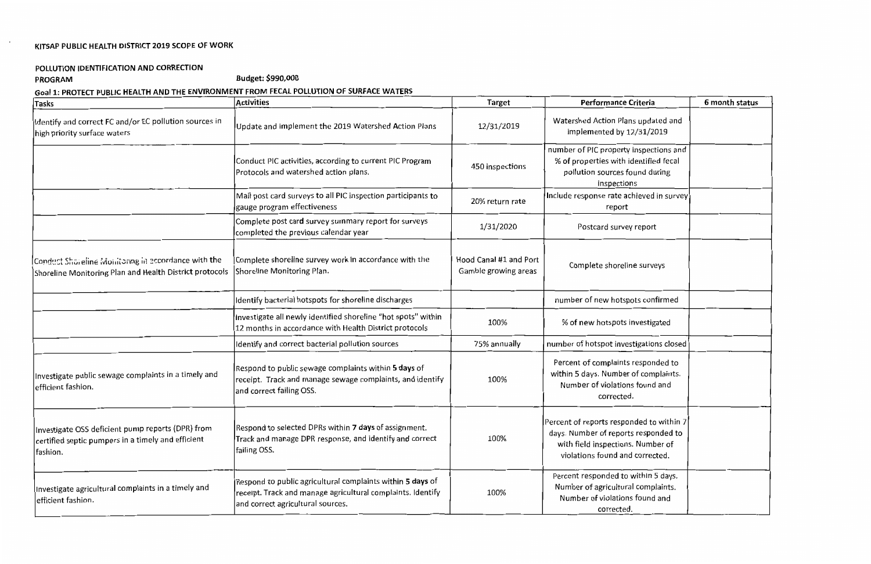# KITSAP PUBLIC HEALTH DISTRICT 2019 SCOPE OF WORK

# POLLUTION IDENTIFICATION AND CORRECTION

 $\sim$ 

# PROGRAM Budget: \$990,000

# Goal 1: PROTECT PUBLIC HEALTH AND THE ENVIRONMENT FROM FECAL POLLUTION OF SURFACE WATERS

| Tasks                                                                                                                | <b>Activities</b>                                                                                                                                                     | <b>Target</b>                                  | Performance Criteria                                                                                                                                     | 6 month status |
|----------------------------------------------------------------------------------------------------------------------|-----------------------------------------------------------------------------------------------------------------------------------------------------------------------|------------------------------------------------|----------------------------------------------------------------------------------------------------------------------------------------------------------|----------------|
| Identify and correct FC and/or EC pollution sources in<br>high priority surface waters                               | Update and implement the 2019 Watershed Action Plans                                                                                                                  | 12/31/2019                                     | Watershed Action Plans updated and<br>implemented by 12/31/2019                                                                                          |                |
|                                                                                                                      | Conduct PIC activities, according to current PIC Program<br>Protocols and watershed action plans.                                                                     | 450 inspections                                | number of PIC property inspections and<br>% of properties with identified fecal<br>pollution sources found during<br>inspections                         |                |
|                                                                                                                      | Mail post card surveys to all PIC inspection participants to<br>gauge program effectiveness                                                                           | 20% return rate                                | Include response rate achieved in survey<br>report                                                                                                       |                |
|                                                                                                                      | Complete post card survey summary report for surveys<br>completed the previous calendar year                                                                          | 1/31/2020                                      | Postcard survey report                                                                                                                                   |                |
| Conduct Shoreline Monitoring in eccordance with the<br>Shoreline Monitoring Plan and Health District protocols       | Complete shoreline survey work in accordance with the<br>Shoreline Monitoring Plan.                                                                                   | Hood Canal #1 and Port<br>Gamble growing areas | Complete shoreline surveys                                                                                                                               |                |
|                                                                                                                      | Identify bacterial hotspots for shoreline discharges                                                                                                                  |                                                | number of new hotspots confirmed                                                                                                                         |                |
|                                                                                                                      | Investigate all newly identified shoreline "hot spots" within<br>12 months in accordance with Health District protocols                                               | 100%                                           | % of new hotspots investigated                                                                                                                           |                |
|                                                                                                                      | Identify and correct bacterial pollution sources                                                                                                                      | 75% annually                                   | number of hotspot investigations closed                                                                                                                  |                |
| Investigate public sewage complaints in a timely and<br>lefficient fashion.                                          | Respond to public sewage complaints within <b>5 days</b> of<br>receipt. Track and manage sewage complaints, and identify<br>and correct failing OSS.                  | 100%                                           | Percent of complaints responded to<br>within 5 days. Number of complaints.<br>Number of violations found and<br>corrected.                               |                |
| Investigate OSS deficient pump reports (DPR) from<br>certified septic pumpers in a timely and efficient<br> fashion. | Respond to selected DPRs within 7 days of assignment.<br>Track and manage DPR response, and identify and correct<br>failing OSS.                                      | 100%                                           | Percent of reports responded to within 7<br>days. Number of reports responded to<br>with field inspections. Number of<br>violations found and corrected. |                |
| Investigate agricultural complaints in a timely and<br>efficient fashion.                                            | Respond to public agricultural complaints within <b>5 days</b> of<br>receipt. Track and manage agricultural complaints. Identify<br>and correct agricultural sources. | 100%                                           | Percent responded to within 5 days.<br>Number of agricultural complaints.<br>Number of violations found and<br>corrected.                                |                |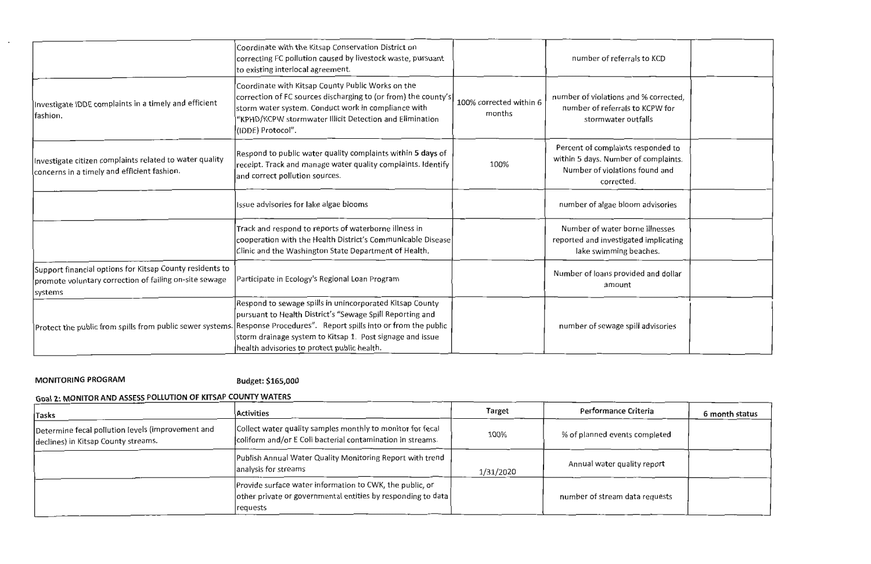|                                                                                                                                | Coordinate with the Kitsap Conservation District on<br>correcting FC pollution caused by livestock waste, pursuant<br>to existing interlocal agreement.                                                                                                                                                                                                    |                                   | number of referrals to KCD                                                                                                 |  |
|--------------------------------------------------------------------------------------------------------------------------------|------------------------------------------------------------------------------------------------------------------------------------------------------------------------------------------------------------------------------------------------------------------------------------------------------------------------------------------------------------|-----------------------------------|----------------------------------------------------------------------------------------------------------------------------|--|
| Investigate IDDE complaints in a timely and efficient<br>fashion.                                                              | Coordinate with Kitsap County Public Works on the<br>correction of FC sources discharging to (or from) the county's<br>storm water system. Conduct work in compliance with<br>'KPHD/KCPW stormwater Illicit Detection and Elimination<br>(IDDE) Protocol".                                                                                                 | 100% corrected within 6<br>months | number of violations and % corrected,<br>number of referrals to KCPW for<br>stormwater outfalls                            |  |
| Investigate citizen complaints related to water quality<br>concerns in a timely and efficient fashion.                         | Respond to public water quality complaints within 5 days of<br>receipt. Track and manage water quality complaints. Identify<br>and correct pollution sources.                                                                                                                                                                                              | 100%                              | Percent of complaints responded to<br>within 5 days. Number of complaints.<br>Number of violations found and<br>corrected. |  |
|                                                                                                                                | Issue advisories for lake algae blooms                                                                                                                                                                                                                                                                                                                     |                                   | number of algae bloom advisories                                                                                           |  |
|                                                                                                                                | Track and respond to reports of waterborne illness in<br>cooperation with the Health District's Communicable Disease<br>Clinic and the Washington State Department of Health.                                                                                                                                                                              |                                   | Number of water borne illnesses<br>reported and investigated implicating<br>lake swimming beaches.                         |  |
| Support financial options for Kitsap County residents to<br>promote voluntary correction of failing on-site sewage<br> systems | Participate in Ecology's Regional Loan Program                                                                                                                                                                                                                                                                                                             |                                   | Number of loans provided and dollar<br>amount                                                                              |  |
|                                                                                                                                | Respond to sewage spills in unincorporated Kitsap County<br>pursuant to Health District's "Sewage Spill Reporting and<br>Protect the public from spills from public sewer systems. Response Procedures". Report spills into or from the public<br>storm drainage system to Kitsap 1. Post signage and issue<br>health advisories to protect public health. | number of sewage spill advisories |                                                                                                                            |  |

**MONITORING PROGRAM Budget: \$165,000** 

 $\sim$   $\sim$ 

#### **Goal 2·** . **MONITOR AND ASSESS POLLUTION OF KITSAP COUNTY WATERS**

| <b>Tasks</b>                                                                             | <b>Activities</b>                                                                                                                     | <b>Target</b> | Performance Criteria           | 6 month status |
|------------------------------------------------------------------------------------------|---------------------------------------------------------------------------------------------------------------------------------------|---------------|--------------------------------|----------------|
| Determine fecal pollution levels (improvement and<br>declines) in Kitsap County streams. | Collect water quality samples monthly to monitor for fecal<br>coliform and/or E Coli bacterial contamination in streams.              | 100%          | % of planned events completed  |                |
|                                                                                          | Publish Annual Water Quality Monitoring Report with trend<br>analysis for streams                                                     | 1/31/2020     | Annual water quality report    |                |
|                                                                                          | Provide surface water information to CWK, the public, or<br>other private or governmental entities by responding to data<br> requests |               | number of stream data requests |                |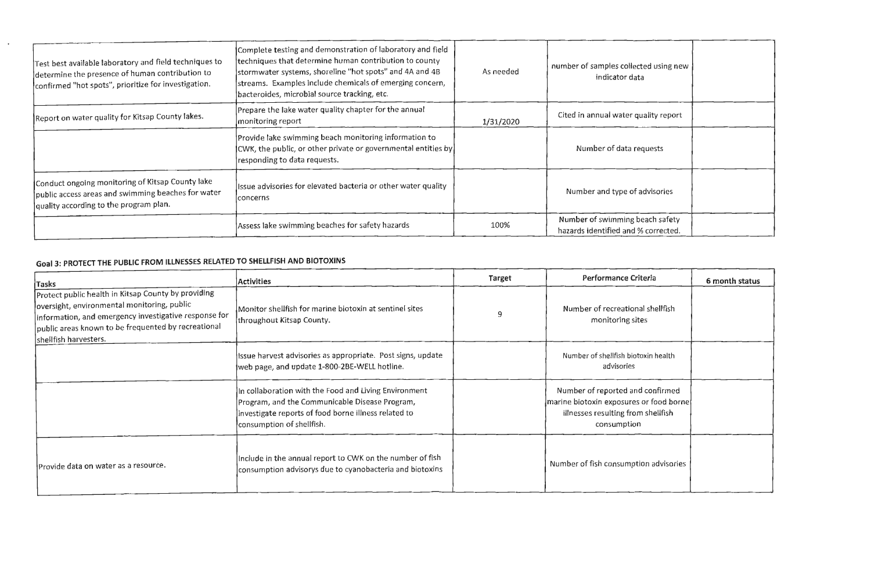| Test best available laboratory and field techniques to<br>determine the presence of human contribution to<br>confirmed "hot spots", prioritize for investigation. | Complete testing and demonstration of laboratory and field<br>techniques that determine human contribution to county<br>stormwater systems, shoreline "hot spots" and 4A and 4B<br>streams. Examples include chemicals of emerging concern,<br>bacteroides, microbial source tracking, etc. | As needed | number of samples collected using new<br>indicator data                |
|-------------------------------------------------------------------------------------------------------------------------------------------------------------------|---------------------------------------------------------------------------------------------------------------------------------------------------------------------------------------------------------------------------------------------------------------------------------------------|-----------|------------------------------------------------------------------------|
| Report on water quality for Kitsap County lakes.                                                                                                                  | Prepare the lake water quality chapter for the annual<br>monitoring report                                                                                                                                                                                                                  | 1/31/2020 | Cited in annual water quality report                                   |
|                                                                                                                                                                   | Provide lake swimming beach monitoring information to<br>$ {\rm CW}$ , the public, or other private or governmental entities by $ $<br>responding to data requests.                                                                                                                         |           | Number of data requests                                                |
| Conduct ongoing monitoring of Kitsap County lake<br>public access areas and swimming beaches for water<br>quality according to the program plan.                  | Issue advisories for elevated bacteria or other water quality<br> concerns                                                                                                                                                                                                                  |           | Number and type of advisories                                          |
|                                                                                                                                                                   | Assess lake swimming beaches for safety hazards                                                                                                                                                                                                                                             | 100%      | Number of swimming beach safety<br>hazards identified and % corrected. |

# **Goal 3: PROTECT THE PUBLIC FROM ILLNESSES RELATED TO SHELLFISH AND BIOTOXINS**

 $\sim$ 

| $ T$ asks                                                                                                                                                                                                                                   | <b>Activities</b>                                                                                                                                                                            | Target | Performance Criteria                                                                                                             | 6 month status |
|---------------------------------------------------------------------------------------------------------------------------------------------------------------------------------------------------------------------------------------------|----------------------------------------------------------------------------------------------------------------------------------------------------------------------------------------------|--------|----------------------------------------------------------------------------------------------------------------------------------|----------------|
| Protect public health in Kitsap County by providing<br>oversight, environmental monitoring, public<br>information, and emergency investigative response for<br>public areas known to be frequented by recreational<br>shellfish harvesters. | Monitor shellfish for marine biotoxin at sentinel sites<br>throughout Kitsap County.                                                                                                         | 9      | Number of recreational shellfish<br>monitoring sites                                                                             |                |
|                                                                                                                                                                                                                                             | Issue harvest advisories as appropriate. Post signs, update<br>web page, and update 1-800-2BE-WELL hotline.                                                                                  |        | Number of shellfish biotoxin health<br>advisories                                                                                |                |
|                                                                                                                                                                                                                                             | In collaboration with the Food and Living Environment<br>Program, and the Communicable Disease Program,<br>investigate reports of food borne illness related to<br>consumption of shellfish. |        | Number of reported and confirmed<br>marine biotoxin exposures or food borne<br>illnesses resulting from shellfish<br>consumption |                |
| Provide data on water as a resource.                                                                                                                                                                                                        | Include in the annual report to CWK on the number of fish<br>consumption advisorys due to cyanobacteria and biotoxins                                                                        |        | Number of fish consumption advisories                                                                                            |                |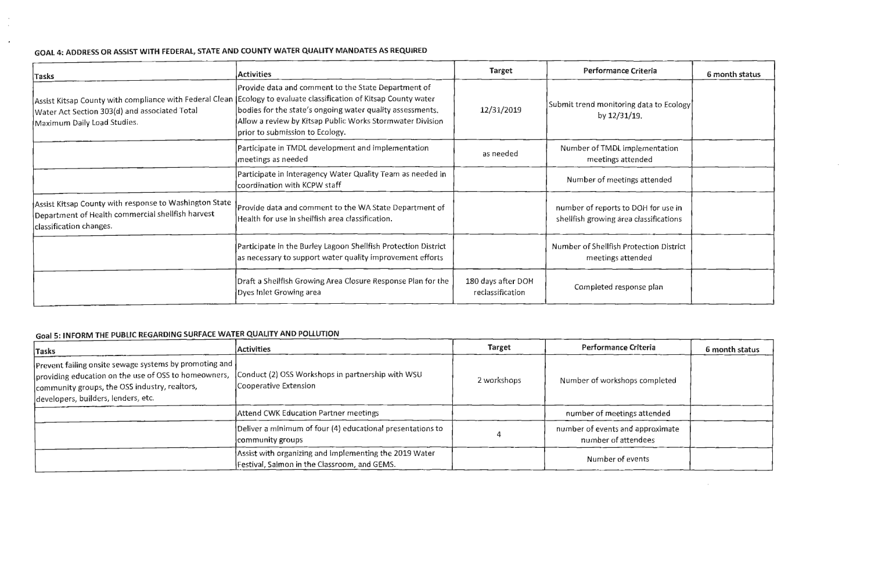# **GOAL 4: ADDRESS OR ASSIST WITH FEDERAL, STATE AND COUNTY WATER QUALITY MANDATES AS REQUIRED**

 $\frac{1}{2}$ 

 $\sim$   $\star$ 

| Tasks                                                                                                                                  | <b>Activities</b>                                                                                                                                                                                                                                                                                                                      | <b>Target</b>                          | Performance Criteria                                                          | 6 month status |
|----------------------------------------------------------------------------------------------------------------------------------------|----------------------------------------------------------------------------------------------------------------------------------------------------------------------------------------------------------------------------------------------------------------------------------------------------------------------------------------|----------------------------------------|-------------------------------------------------------------------------------|----------------|
| Water Act Section 303(d) and associated Total<br>Maximum Daily Load Studies.                                                           | Provide data and comment to the State Department of<br>Assist Kitsap County with compliance with Federal Clean (Ecology to evaluate classification of Kitsap County water<br>bodies for the state's ongoing water quality assessments.<br>Allow a review by Kitsap Public Works Stormwater Division<br>prior to submission to Ecology. | 12/31/2019                             | Submit trend monitoring data to Ecology<br>by $12/31/19$ .                    |                |
|                                                                                                                                        | Participate in TMDL development and implementation<br>meetings as needed                                                                                                                                                                                                                                                               | as needed                              | Number of TMDL implementation<br>meetings attended                            |                |
|                                                                                                                                        | Participate in Interagency Water Quality Team as needed in<br>coordination with KCPW staff                                                                                                                                                                                                                                             |                                        | Number of meetings attended                                                   |                |
| Assist Kitsap County with response to Washington State<br>Department of Health commercial shellfish harvest<br>classification changes. | Provide data and comment to the WA State Department of<br>Health for use in shellfish area classification.                                                                                                                                                                                                                             |                                        | number of reports to DOH for use in<br>shellfish growing area classifications |                |
|                                                                                                                                        | Participate in the Burley Lagoon Shellfish Protection District<br>as necessary to support water quality improvement efforts                                                                                                                                                                                                            |                                        | Number of Shellfish Protection District<br>meetings attended                  |                |
|                                                                                                                                        | Draft a Shellfish Growing Area Closure Response Plan for the<br>Dyes Inlet Growing area                                                                                                                                                                                                                                                | 180 days after DOH<br>reclassification | Completed response plan                                                       |                |

# **Goal S· INFORM THE PUBLIC REGARDING SURFACE WATER QUALITY AND POLLUTION**

| Tasks                                                                                                                                                                                                  | <b>Activities</b>                                                                                      | <b>Target</b> | Performance Criteria                                    | 6 month status |
|--------------------------------------------------------------------------------------------------------------------------------------------------------------------------------------------------------|--------------------------------------------------------------------------------------------------------|---------------|---------------------------------------------------------|----------------|
| Prevent failing onsite sewage systems by promoting and<br>providing education on the use of OSS to homeowners,<br>community groups, the OSS industry, realtors,<br>developers, builders, lenders, etc. | Conduct (2) OSS Workshops in partnership with WSU<br>Cooperative Extension                             | 2 workshops   | Number of workshops completed                           |                |
|                                                                                                                                                                                                        | Attend CWK Education Partner meetings                                                                  |               | number of meetings attended                             |                |
|                                                                                                                                                                                                        | Deliver a minimum of four (4) educational presentations to<br>community groups                         |               | number of events and approximate<br>number of attendees |                |
|                                                                                                                                                                                                        | Assist with organizing and implementing the 2019 Water<br>Festival, Salmon in the Classroom, and GEMS. |               | Number of events                                        |                |

| teria                         | 6 month status |
|-------------------------------|----------------|
| lata to Ecology<br>٠          |                |
| ementation<br>ded             |                |
| attended                      |                |
| H for use in<br>assifications |                |
| ection District<br>ded        |                |
| se plan                       |                |

 $\sim 10^{-11}$ 

 $\overline{\phantom{0}}$